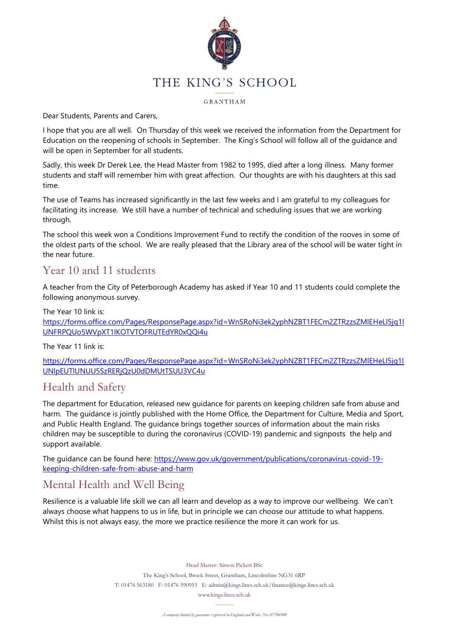

#### GRANTHAM

Dear Students, Parents and Carers,

I hope that you are all well. On Thursday of this week we received the information from the Department for Education on the reopening of schools in September. The King's School will follow all of the guidance and will be open in September for all students.

Sadly, this week Dr Derek Lee, the Head Master from 1982 to 1995, died after a long illness. Many former students and staff will remember him with great affection. Our thoughts are with his daughters at this sad time.

The use of Teams has increased significantly in the last few weeks and I am grateful to my colleagues for facilitating its increase. We still have a number of technical and scheduling issues that we are working through.

The school this week won a Conditions Improvement Fund to rectify the condition of the rooves in some of the oldest parts of the school. We are really pleased that the Library area of the school will be water tight in the near future.

### Year 10 and 11 students

A teacher from the City of Peterborough Academy has asked if Year 10 and 11 students could complete the following anonymous survey.

The Year 10 link is: [https://forms.office.com/Pages/ResponsePage.aspx?id=WnSRoNi3ek2yphNZBT1FECm2ZTRzzsZMlEHeLl5jq1l](https://gbr01.safelinks.protection.outlook.com/?url=https%3A%2F%2Fforms.office.com%2FPages%2FResponsePage.aspx%3Fid%3DWnSRoNi3ek2yphNZBT1FECm2ZTRzzsZMlEHeLl5jq1lUNFRPQUo5WVpXT1lKOTVTOFRUTEdYR0xQQi4u&data=02%7C01%7CSimon.Pickett%40kings.lincs.sch.uk%7Cc0fd531c4cd14794812d08d81cf4cad4%7Cd61f9e25f5d9419fb1e2d6470b594476%7C0%7C0%7C637291184976533740&sdata=Sb02OsQQylDpFTKxbHqKOQzo0L9vzuvrpwucmsLVx8M%3D&reserved=0) [UNFRPQUo5WVpXT1lKOTVTOFRUTEdYR0xQQi4u](https://gbr01.safelinks.protection.outlook.com/?url=https%3A%2F%2Fforms.office.com%2FPages%2FResponsePage.aspx%3Fid%3DWnSRoNi3ek2yphNZBT1FECm2ZTRzzsZMlEHeLl5jq1lUNFRPQUo5WVpXT1lKOTVTOFRUTEdYR0xQQi4u&data=02%7C01%7CSimon.Pickett%40kings.lincs.sch.uk%7Cc0fd531c4cd14794812d08d81cf4cad4%7Cd61f9e25f5d9419fb1e2d6470b594476%7C0%7C0%7C637291184976533740&sdata=Sb02OsQQylDpFTKxbHqKOQzo0L9vzuvrpwucmsLVx8M%3D&reserved=0)

The Year 11 link is:

[https://forms.office.com/Pages/ResponsePage.aspx?id=WnSRoNi3ek2yphNZBT1FECm2ZTRzzsZMlEHeLl5jq1l](https://gbr01.safelinks.protection.outlook.com/?url=https%3A%2F%2Fforms.office.com%2FPages%2FResponsePage.aspx%3Fid%3DWnSRoNi3ek2yphNZBT1FECm2ZTRzzsZMlEHeLl5jq1lUNlpEUTlUNUU5SzRERjQzU0dDMUtTSUU3VC4u&data=02%7C01%7CSimon.Pickett%40kings.lincs.sch.uk%7Cc0fd531c4cd14794812d08d81cf4cad4%7Cd61f9e25f5d9419fb1e2d6470b594476%7C0%7C0%7C637291184976543695&sdata=08hUQseLvxi1bVS2JP6pRJvhbjTaVolpPWqZgkkdhdM%3D&reserved=0) [UNlpEUTlUNUU5SzRERjQzU0dDMUtTSUU3VC4u](https://gbr01.safelinks.protection.outlook.com/?url=https%3A%2F%2Fforms.office.com%2FPages%2FResponsePage.aspx%3Fid%3DWnSRoNi3ek2yphNZBT1FECm2ZTRzzsZMlEHeLl5jq1lUNlpEUTlUNUU5SzRERjQzU0dDMUtTSUU3VC4u&data=02%7C01%7CSimon.Pickett%40kings.lincs.sch.uk%7Cc0fd531c4cd14794812d08d81cf4cad4%7Cd61f9e25f5d9419fb1e2d6470b594476%7C0%7C0%7C637291184976543695&sdata=08hUQseLvxi1bVS2JP6pRJvhbjTaVolpPWqZgkkdhdM%3D&reserved=0)

### Health and Safety

The department for Education, released new guidance for parents on keeping children safe from abuse and harm. The guidance is jointly published with the Home Office, the Department for Culture, Media and Sport, and Public Health England. The guidance brings together sources of information about the main risks children may be susceptible to during the coronavirus (COVID-19) pandemic and signposts the help and support available.

The guidance can be found here: [https://www.gov.uk/government/publications/coronavirus-covid-19](https://www.gov.uk/government/publications/coronavirus-covid-19-keeping-children-safe-from-abuse-and-harm) [keeping-children-safe-from-abuse-and-harm](https://www.gov.uk/government/publications/coronavirus-covid-19-keeping-children-safe-from-abuse-and-harm)

### Mental Health and Well Being

Resilience is a valuable life skill we can all learn and develop as a way to improve our wellbeing. We can't always choose what happens to us in life, but in principle we can choose our attitude to what happens. Whilst this is not always easy, the more we practice resilience the more it can work for us.

Head Master: Simon Pickett BSc

The King's School, Brook Street, Grantham, Lincolnshire NG31 6RP T: 01476 563180 F: 01476 590953 E: admin@kings.lincs.sch.uk/finance@kings.lincs.sch.uk

www.kings.lincs.sch.uk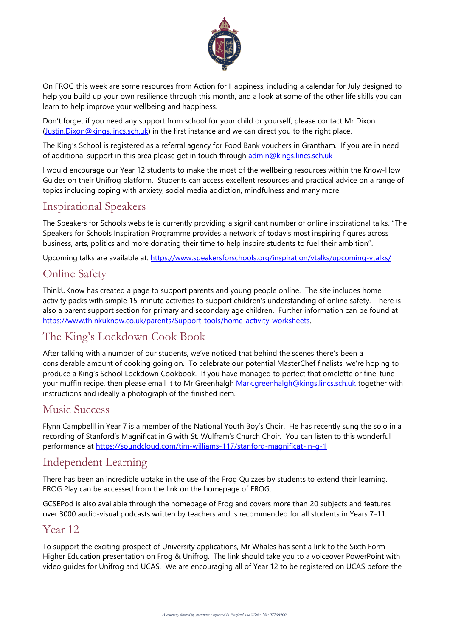

On FROG this week are some resources from Action for Happiness, including a calendar for July designed to help you build up your own resilience through this month, and a look at some of the other life skills you can learn to help improve your wellbeing and happiness.

Don't forget if you need any support from school for your child or yourself, please contact Mr Dixon [\(Justin.Dixon@kings.lincs.sch.uk\)](mailto:Justin.Dixon@kings.lincs.sch.uk) in the first instance and we can direct you to the right place.

The King's School is registered as a referral agency for Food Bank vouchers in Grantham. If you are in need of additional support in this area please get in touch through [admin@kings.lincs.sch.uk](mailto:admin@kings.lincs.sch.uk?subject=Food%20Bank)

I would encourage our Year 12 students to make the most of the wellbeing resources within the Know-How Guides on their Unifrog platform. Students can access excellent resources and practical advice on a range of topics including coping with anxiety, social media addiction, mindfulness and many more.

# Inspirational Speakers

The Speakers for Schools website is currently providing a significant number of online inspirational talks. "The Speakers for Schools Inspiration Programme provides a network of today's most inspiring figures across business, arts, politics and more donating their time to help inspire students to fuel their ambition".

Upcoming talks are available at:<https://www.speakersforschools.org/inspiration/vtalks/upcoming-vtalks/>

# Online Safety

ThinkUKnow has created a page to support parents and young people online. The site includes home activity packs with simple 15-minute activities to support children's understanding of online safety. There is also a parent support section for primary and secondary age children. Further information can be found at [https://www.thinkuknow.co.uk/parents/Support-tools/home-activity-worksheets.](https://www.thinkuknow.co.uk/parents/Support-tools/home-activity-worksheets)

# The King's Lockdown Cook Book

After talking with a number of our students, we've noticed that behind the scenes there's been a considerable amount of cooking going on. To celebrate our potential MasterChef finalists, we're hoping to produce a King's School Lockdown Cookbook. If you have managed to perfect that omelette or fine-tune your muffin recipe, then please email it to Mr Greenhalgh [Mark.greenhalgh@kings.lincs.sch.uk](mailto:Mark.greenhalgh@kings.lincs.sch.uk?subject=King) together with instructions and ideally a photograph of the finished item.

### Music Success

Flynn Campbelll in Year 7 is a member of the National Youth Boy's Choir. He has recently sung the solo in a recording of Stanford's Magnificat in G with St. Wulfram's Church Choir. You can listen to this wonderful performance at [https://soundcloud.com/tim-williams-117/stanford-magnificat-in-g-1](https://gbr01.safelinks.protection.outlook.com/?url=https%3A%2F%2Fsoundcloud.com%2Ftim-williams-117%2Fstanford-magnificat-in-g-1&data=02%7C01%7CJustin.Dixon%40kings.lincs.sch.uk%7Cf6232ad319144ac2ec3b08d81e8bf7e6%7Cd61f9e25f5d9419fb1e2d6470b594476%7C0%7C0%7C637292933792317044&sdata=GXJMCEEcj7%2F8X13SNdYOX1H6RUm2Ke4HnnVI7epGr%2Bk%3D&reserved=0)

# Independent Learning

There has been an incredible uptake in the use of the Frog Quizzes by students to extend their learning. FROG Play can be accessed from the link on the homepage of FROG.

GCSEPod is also available through the homepage of Frog and covers more than 20 subjects and features over 3000 audio-visual podcasts written by teachers and is recommended for all students in Years 7-11.

### Year 12

video guides for Unifrog and UCAS. We are encouraging all of Year 12 to be registered on UCAS before the To support the exciting prospect of University applications, Mr Whales has sent a link to the Sixth Form Higher Education presentation on Frog & Unifrog. The link should take you to a voiceover PowerPoint with